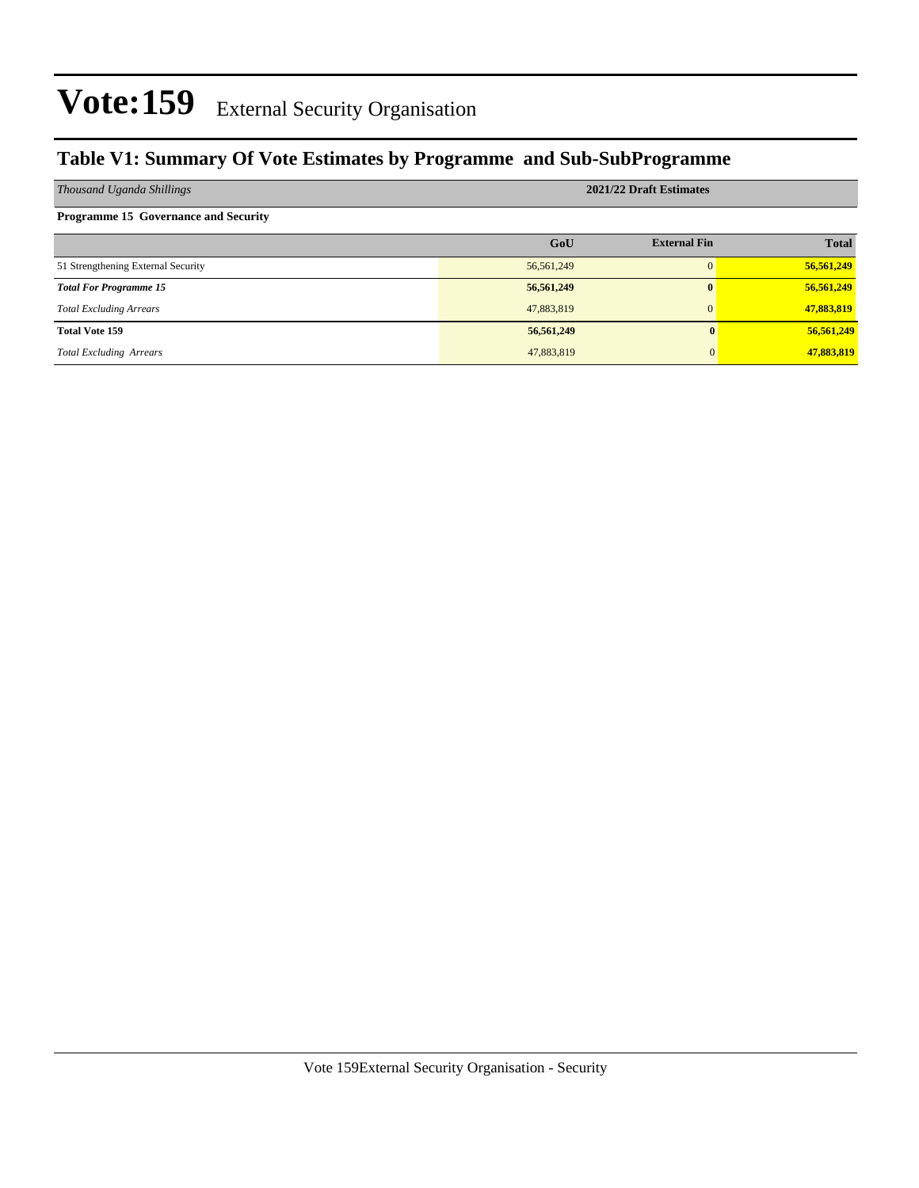### **Table V1: Summary Of Vote Estimates by Programme and Sub-SubProgramme**

| Thousand Uganda Shillings                   | 2021/22 Draft Estimates |                     |              |  |  |  |
|---------------------------------------------|-------------------------|---------------------|--------------|--|--|--|
| <b>Programme 15 Governance and Security</b> |                         |                     |              |  |  |  |
|                                             | GoU                     | <b>External Fin</b> | <b>Total</b> |  |  |  |
| 51 Strengthening External Security          | 56,561,249              | $\Omega$            | 56,561,249   |  |  |  |
| <b>Total For Programme 15</b>               | 56,561,249              | $\mathbf{0}$        | 56,561,249   |  |  |  |
| <b>Total Excluding Arrears</b>              | 47,883,819              | $\Omega$            | 47,883,819   |  |  |  |
| <b>Total Vote 159</b>                       | 56,561,249              |                     | 56,561,249   |  |  |  |
| <b>Total Excluding Arrears</b>              | 47,883,819              |                     | 47,883,819   |  |  |  |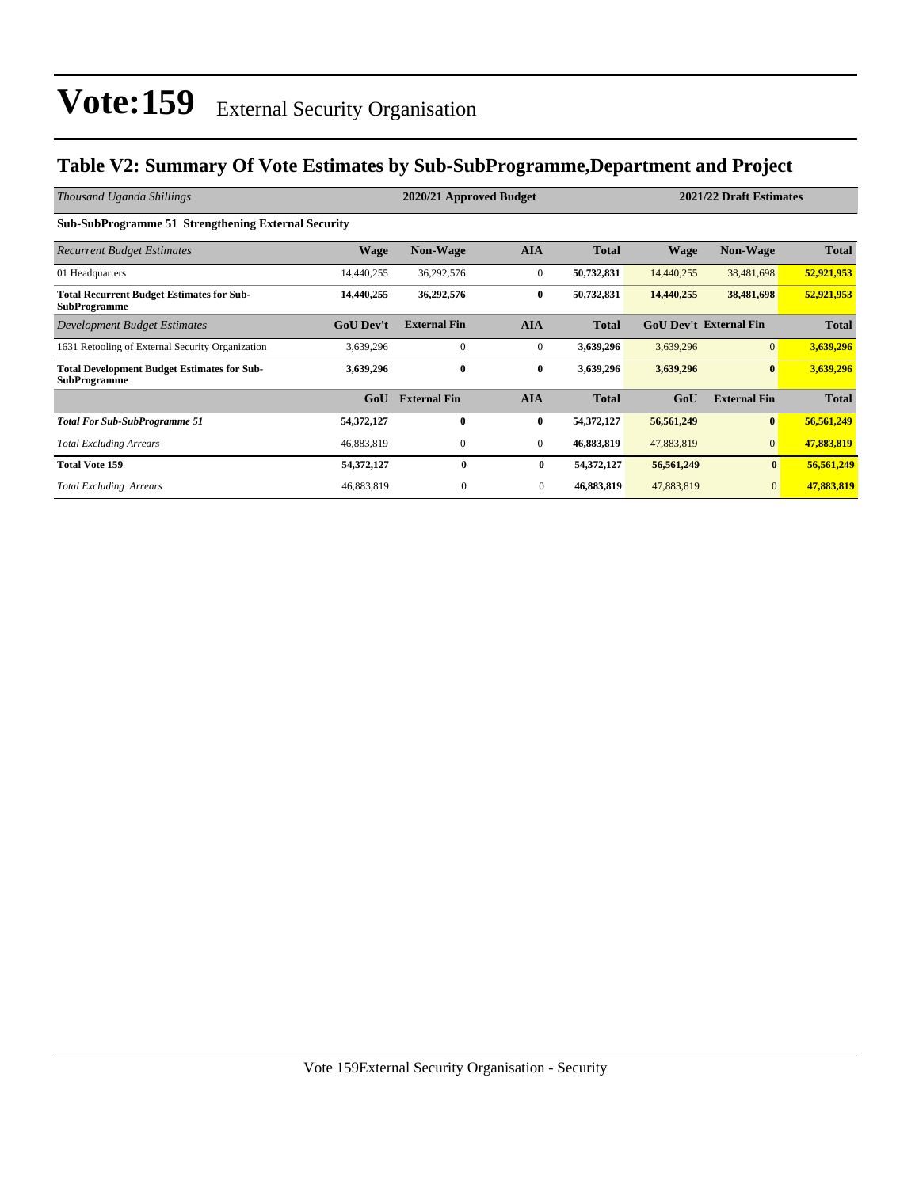### **Table V2: Summary Of Vote Estimates by Sub-SubProgramme,Department and Project**

| Thousand Uganda Shillings                                                 | 2020/21 Approved Budget |                     |              |              |                               | 2021/22 Draft Estimates |              |  |
|---------------------------------------------------------------------------|-------------------------|---------------------|--------------|--------------|-------------------------------|-------------------------|--------------|--|
| <b>Sub-SubProgramme 51 Strengthening External Security</b>                |                         |                     |              |              |                               |                         |              |  |
| <b>Recurrent Budget Estimates</b>                                         | <b>Wage</b>             | <b>Non-Wage</b>     | <b>AIA</b>   | <b>Total</b> | Wage                          | <b>Non-Wage</b>         | <b>Total</b> |  |
| 01 Headquarters                                                           | 14,440,255              | 36,292,576          | $\mathbf{0}$ | 50,732,831   | 14,440,255                    | 38,481,698              | 52,921,953   |  |
| <b>Total Recurrent Budget Estimates for Sub-</b><br><b>SubProgramme</b>   | 14,440,255              | 36,292,576          | $\bf{0}$     | 50,732,831   | 14,440,255                    | 38,481,698              | 52,921,953   |  |
| Development Budget Estimates                                              | <b>GoU Dev't</b>        | <b>External Fin</b> | <b>AIA</b>   | <b>Total</b> | <b>GoU Dev't External Fin</b> |                         | <b>Total</b> |  |
| 1631 Retooling of External Security Organization                          | 3,639,296               | $\Omega$            | $\mathbf{0}$ | 3,639,296    | 3,639,296                     | $\overline{0}$          | 3,639,296    |  |
| <b>Total Development Budget Estimates for Sub-</b><br><b>SubProgramme</b> | 3,639,296               | $\bf{0}$            | $\bf{0}$     | 3,639,296    | 3,639,296                     | $\bf{0}$                | 3,639,296    |  |
|                                                                           | GoU                     | <b>External Fin</b> | <b>AIA</b>   | <b>Total</b> | GoU                           | <b>External Fin</b>     | <b>Total</b> |  |
| <b>Total For Sub-SubProgramme 51</b>                                      | 54,372,127              | $\mathbf{0}$        | $\bf{0}$     | 54,372,127   | 56,561,249                    | $\bf{0}$                | 56,561,249   |  |
| <b>Total Excluding Arrears</b>                                            | 46,883,819              | $\mathbf{0}$        | $\mathbf{0}$ | 46,883,819   | 47,883,819                    | $\overline{0}$          | 47,883,819   |  |
| <b>Total Vote 159</b>                                                     | 54,372,127              | $\bf{0}$            | $\bf{0}$     | 54,372,127   | 56,561,249                    | $\bf{0}$                | 56,561,249   |  |
| <b>Total Excluding Arrears</b>                                            | 46,883,819              | $\boldsymbol{0}$    | $\mathbf{0}$ | 46,883,819   | 47,883,819                    | $\mathbf{0}$            | 47,883,819   |  |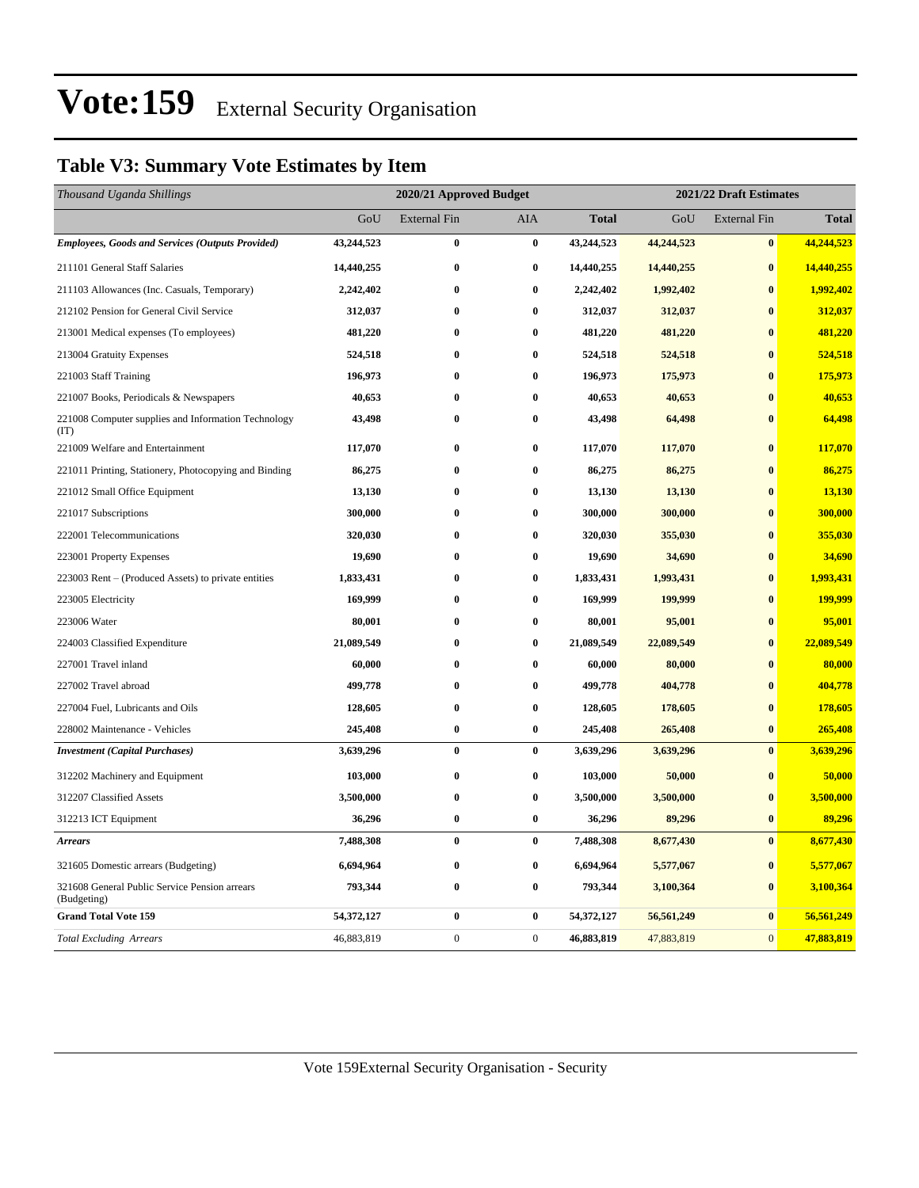### **Table V3: Summary Vote Estimates by Item**

| Thousand Uganda Shillings                                    | 2020/21 Approved Budget |                     |                  |              | 2021/22 Draft Estimates |                     |              |  |
|--------------------------------------------------------------|-------------------------|---------------------|------------------|--------------|-------------------------|---------------------|--------------|--|
|                                                              | GoU                     | <b>External Fin</b> | AIA              | <b>Total</b> | GoU                     | <b>External Fin</b> | <b>Total</b> |  |
| <b>Employees, Goods and Services (Outputs Provided)</b>      | 43,244,523              | $\bf{0}$            | $\bf{0}$         | 43,244,523   | 44,244,523              | $\bf{0}$            | 44,244,523   |  |
| 211101 General Staff Salaries                                | 14,440,255              | $\bf{0}$            | $\bf{0}$         | 14,440,255   | 14,440,255              | $\bf{0}$            | 14,440,255   |  |
| 211103 Allowances (Inc. Casuals, Temporary)                  | 2,242,402               | $\bf{0}$            | $\bf{0}$         | 2,242,402    | 1,992,402               | $\bf{0}$            | 1,992,402    |  |
| 212102 Pension for General Civil Service                     | 312,037                 | $\bf{0}$            | 0                | 312,037      | 312,037                 | $\bf{0}$            | 312,037      |  |
| 213001 Medical expenses (To employees)                       | 481,220                 | $\bf{0}$            | $\bf{0}$         | 481,220      | 481,220                 | $\bf{0}$            | 481,220      |  |
| 213004 Gratuity Expenses                                     | 524,518                 | 0                   | 0                | 524,518      | 524,518                 | $\bf{0}$            | 524,518      |  |
| 221003 Staff Training                                        | 196,973                 | $\bf{0}$            | $\bf{0}$         | 196,973      | 175,973                 | $\bf{0}$            | 175,973      |  |
| 221007 Books, Periodicals & Newspapers                       | 40,653                  | 0                   | 0                | 40,653       | 40,653                  | $\bf{0}$            | 40,653       |  |
| 221008 Computer supplies and Information Technology<br>(TT)  | 43,498                  | $\bf{0}$            | 0                | 43,498       | 64,498                  | $\mathbf{0}$        | 64,498       |  |
| 221009 Welfare and Entertainment                             | 117,070                 | $\bf{0}$            | $\bf{0}$         | 117,070      | 117,070                 | $\bf{0}$            | 117,070      |  |
| 221011 Printing, Stationery, Photocopying and Binding        | 86,275                  | $\bf{0}$            | 0                | 86,275       | 86,275                  | $\bf{0}$            | 86,275       |  |
| 221012 Small Office Equipment                                | 13,130                  | $\bf{0}$            | $\bf{0}$         | 13,130       | 13,130                  | $\bf{0}$            | 13,130       |  |
| 221017 Subscriptions                                         | 300,000                 | $\bf{0}$            | 0                | 300,000      | 300,000                 | $\bf{0}$            | 300,000      |  |
| 222001 Telecommunications                                    | 320,030                 | 0                   | $\bf{0}$         | 320,030      | 355,030                 | $\bf{0}$            | 355,030      |  |
| 223001 Property Expenses                                     | 19,690                  | $\bf{0}$            | 0                | 19,690       | 34,690                  | $\bf{0}$            | 34,690       |  |
| 223003 Rent - (Produced Assets) to private entities          | 1,833,431               | $\bf{0}$            | 0                | 1,833,431    | 1,993,431               | $\bf{0}$            | 1,993,431    |  |
| 223005 Electricity                                           | 169,999                 | 0                   | $\bf{0}$         | 169,999      | 199,999                 | $\bf{0}$            | 199,999      |  |
| 223006 Water                                                 | 80,001                  | $\bf{0}$            | $\bf{0}$         | 80,001       | 95,001                  | $\bf{0}$            | 95,001       |  |
| 224003 Classified Expenditure                                | 21,089,549              | 0                   | 0                | 21,089,549   | 22,089,549              | $\bf{0}$            | 22,089,549   |  |
| 227001 Travel inland                                         | 60,000                  | $\bf{0}$            | 0                | 60,000       | 80,000                  | $\bf{0}$            | 80,000       |  |
| 227002 Travel abroad                                         | 499,778                 | $\bf{0}$            | $\bf{0}$         | 499,778      | 404,778                 | $\bf{0}$            | 404,778      |  |
| 227004 Fuel, Lubricants and Oils                             | 128,605                 | $\bf{0}$            | $\bf{0}$         | 128,605      | 178,605                 | $\bf{0}$            | 178,605      |  |
| 228002 Maintenance - Vehicles                                | 245,408                 | $\bf{0}$            | $\bf{0}$         | 245,408      | 265,408                 | $\bf{0}$            | 265,408      |  |
| <b>Investment</b> (Capital Purchases)                        | 3,639,296               | $\bf{0}$            | $\bf{0}$         | 3,639,296    | 3,639,296               | $\bf{0}$            | 3,639,296    |  |
| 312202 Machinery and Equipment                               | 103,000                 | $\bf{0}$            | $\bf{0}$         | 103,000      | 50,000                  | $\bf{0}$            | 50,000       |  |
| 312207 Classified Assets                                     | 3,500,000               | $\bf{0}$            | $\bf{0}$         | 3,500,000    | 3,500,000               | $\bf{0}$            | 3,500,000    |  |
| 312213 ICT Equipment                                         | 36,296                  | $\bf{0}$            | $\bf{0}$         | 36,296       | 89,296                  | $\bf{0}$            | 89,296       |  |
| <b>Arrears</b>                                               | 7,488,308               | $\bf{0}$            | $\bf{0}$         | 7,488,308    | 8,677,430               | $\bf{0}$            | 8,677,430    |  |
| 321605 Domestic arrears (Budgeting)                          | 6,694,964               | $\bf{0}$            | $\bf{0}$         | 6,694,964    | 5,577,067               | $\bf{0}$            | 5,577,067    |  |
| 321608 General Public Service Pension arrears<br>(Budgeting) | 793,344                 | $\bf{0}$            | 0                | 793,344      | 3,100,364               | $\bf{0}$            | 3,100,364    |  |
| <b>Grand Total Vote 159</b>                                  | 54,372,127              | $\bf{0}$            | $\bf{0}$         | 54,372,127   | 56,561,249              | $\bf{0}$            | 56,561,249   |  |
| <b>Total Excluding Arrears</b>                               | 46,883,819              | $\boldsymbol{0}$    | $\boldsymbol{0}$ | 46,883,819   | 47,883,819              | $\mathbf{0}$        | 47,883,819   |  |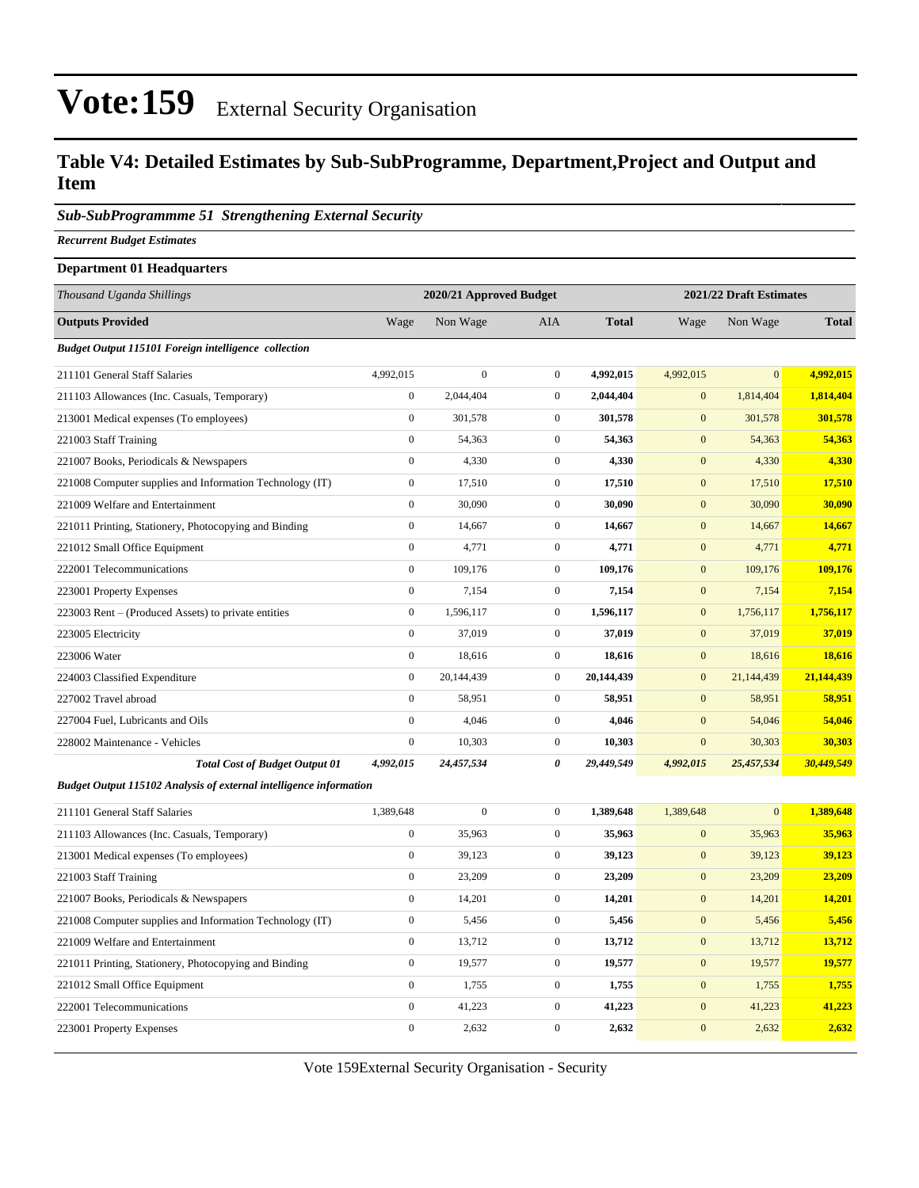#### **Table V4: Detailed Estimates by Sub-SubProgramme, Department,Project and Output and Item**

#### *Sub-SubProgrammme 51 Strengthening External Security*

*Recurrent Budget Estimates*

#### **Department 01 Headquarters**

| Thousand Uganda Shillings                                          | 2020/21 Approved Budget |                |                  |              | 2021/22 Draft Estimates |                |              |  |
|--------------------------------------------------------------------|-------------------------|----------------|------------------|--------------|-------------------------|----------------|--------------|--|
| <b>Outputs Provided</b>                                            | Wage                    | Non Wage       | AIA              | <b>Total</b> | Wage                    | Non Wage       | <b>Total</b> |  |
| <b>Budget Output 115101 Foreign intelligence collection</b>        |                         |                |                  |              |                         |                |              |  |
| 211101 General Staff Salaries                                      | 4,992,015               | $\overline{0}$ | $\mathbf{0}$     | 4,992,015    | 4,992,015               | $\overline{0}$ | 4,992,015    |  |
| 211103 Allowances (Inc. Casuals, Temporary)                        | $\mathbf{0}$            | 2,044,404      | $\mathbf{0}$     | 2,044,404    | $\mathbf{0}$            | 1,814,404      | 1,814,404    |  |
| 213001 Medical expenses (To employees)                             | $\mathbf{0}$            | 301,578        | $\mathbf{0}$     | 301,578      | $\mathbf{0}$            | 301,578        | 301,578      |  |
| 221003 Staff Training                                              | $\mathbf{0}$            | 54,363         | $\mathbf{0}$     | 54,363       | $\mathbf{0}$            | 54,363         | 54,363       |  |
| 221007 Books, Periodicals & Newspapers                             | $\mathbf{0}$            | 4,330          | $\boldsymbol{0}$ | 4,330        | $\boldsymbol{0}$        | 4,330          | 4,330        |  |
| 221008 Computer supplies and Information Technology (IT)           | $\boldsymbol{0}$        | 17,510         | $\boldsymbol{0}$ | 17,510       | $\boldsymbol{0}$        | 17,510         | 17,510       |  |
| 221009 Welfare and Entertainment                                   | $\boldsymbol{0}$        | 30,090         | $\boldsymbol{0}$ | 30,090       | $\boldsymbol{0}$        | 30,090         | 30,090       |  |
| 221011 Printing, Stationery, Photocopying and Binding              | $\mathbf{0}$            | 14,667         | $\boldsymbol{0}$ | 14,667       | $\boldsymbol{0}$        | 14,667         | 14,667       |  |
| 221012 Small Office Equipment                                      | $\boldsymbol{0}$        | 4,771          | $\boldsymbol{0}$ | 4,771        | $\mathbf{0}$            | 4,771          | 4,771        |  |
| 222001 Telecommunications                                          | $\boldsymbol{0}$        | 109,176        | $\boldsymbol{0}$ | 109,176      | $\mathbf{0}$            | 109,176        | 109,176      |  |
| 223001 Property Expenses                                           | $\boldsymbol{0}$        | 7,154          | $\boldsymbol{0}$ | 7,154        | $\mathbf{0}$            | 7,154          | 7,154        |  |
| 223003 Rent – (Produced Assets) to private entities                | $\boldsymbol{0}$        | 1,596,117      | $\boldsymbol{0}$ | 1,596,117    | $\boldsymbol{0}$        | 1,756,117      | 1,756,117    |  |
| 223005 Electricity                                                 | $\mathbf{0}$            | 37,019         | $\boldsymbol{0}$ | 37,019       | $\boldsymbol{0}$        | 37,019         | 37,019       |  |
| 223006 Water                                                       | $\boldsymbol{0}$        | 18,616         | $\boldsymbol{0}$ | 18,616       | $\boldsymbol{0}$        | 18,616         | 18,616       |  |
| 224003 Classified Expenditure                                      | $\boldsymbol{0}$        | 20,144,439     | $\boldsymbol{0}$ | 20,144,439   | $\mathbf{0}$            | 21,144,439     | 21,144,439   |  |
| 227002 Travel abroad                                               | $\boldsymbol{0}$        | 58,951         | $\boldsymbol{0}$ | 58,951       | $\mathbf{0}$            | 58,951         | 58,951       |  |
| 227004 Fuel, Lubricants and Oils                                   | $\boldsymbol{0}$        | 4,046          | $\boldsymbol{0}$ | 4,046        | $\mathbf{0}$            | 54,046         | 54,046       |  |
| 228002 Maintenance - Vehicles                                      | $\boldsymbol{0}$        | 10,303         | $\boldsymbol{0}$ | 10,303       | $\mathbf{0}$            | 30,303         | 30,303       |  |
| <b>Total Cost of Budget Output 01</b>                              | 4,992,015               | 24,457,534     | 0                | 29,449,549   | 4,992,015               | 25,457,534     | 30,449,549   |  |
| Budget Output 115102 Analysis of external intelligence information |                         |                |                  |              |                         |                |              |  |
| 211101 General Staff Salaries                                      | 1,389,648               | $\mathbf{0}$   | $\boldsymbol{0}$ | 1,389,648    | 1,389,648               | $\overline{0}$ | 1,389,648    |  |
| 211103 Allowances (Inc. Casuals, Temporary)                        | $\boldsymbol{0}$        | 35,963         | $\boldsymbol{0}$ | 35,963       | $\mathbf{0}$            | 35,963         | 35,963       |  |
| 213001 Medical expenses (To employees)                             | $\boldsymbol{0}$        | 39,123         | $\boldsymbol{0}$ | 39,123       | $\boldsymbol{0}$        | 39,123         | 39,123       |  |
| 221003 Staff Training                                              | $\boldsymbol{0}$        | 23,209         | $\boldsymbol{0}$ | 23,209       | $\boldsymbol{0}$        | 23,209         | 23,209       |  |
| 221007 Books, Periodicals & Newspapers                             | $\boldsymbol{0}$        | 14,201         | $\boldsymbol{0}$ | 14,201       | $\mathbf{0}$            | 14,201         | 14,201       |  |
| 221008 Computer supplies and Information Technology (IT)           | $\boldsymbol{0}$        | 5,456          | $\boldsymbol{0}$ | 5,456        | $\mathbf{0}$            | 5,456          | 5,456        |  |
| 221009 Welfare and Entertainment                                   | $\boldsymbol{0}$        | 13,712         | $\boldsymbol{0}$ | 13,712       | $\mathbf{0}$            | 13,712         | 13,712       |  |
| 221011 Printing, Stationery, Photocopying and Binding              | $\boldsymbol{0}$        | 19,577         | $\boldsymbol{0}$ | 19,577       | $\boldsymbol{0}$        | 19,577         | 19,577       |  |
| 221012 Small Office Equipment                                      | $\boldsymbol{0}$        | 1,755          | $\boldsymbol{0}$ | 1,755        | $\boldsymbol{0}$        | 1,755          | 1,755        |  |
| 222001 Telecommunications                                          | $\boldsymbol{0}$        | 41,223         | $\boldsymbol{0}$ | 41,223       | $\boldsymbol{0}$        | 41,223         | 41,223       |  |
| 223001 Property Expenses                                           | $\mathbf{0}$            | 2,632          | $\overline{0}$   | 2,632        | $\mathbf{0}$            | 2,632          | 2,632        |  |

Vote 159External Security Organisation - Security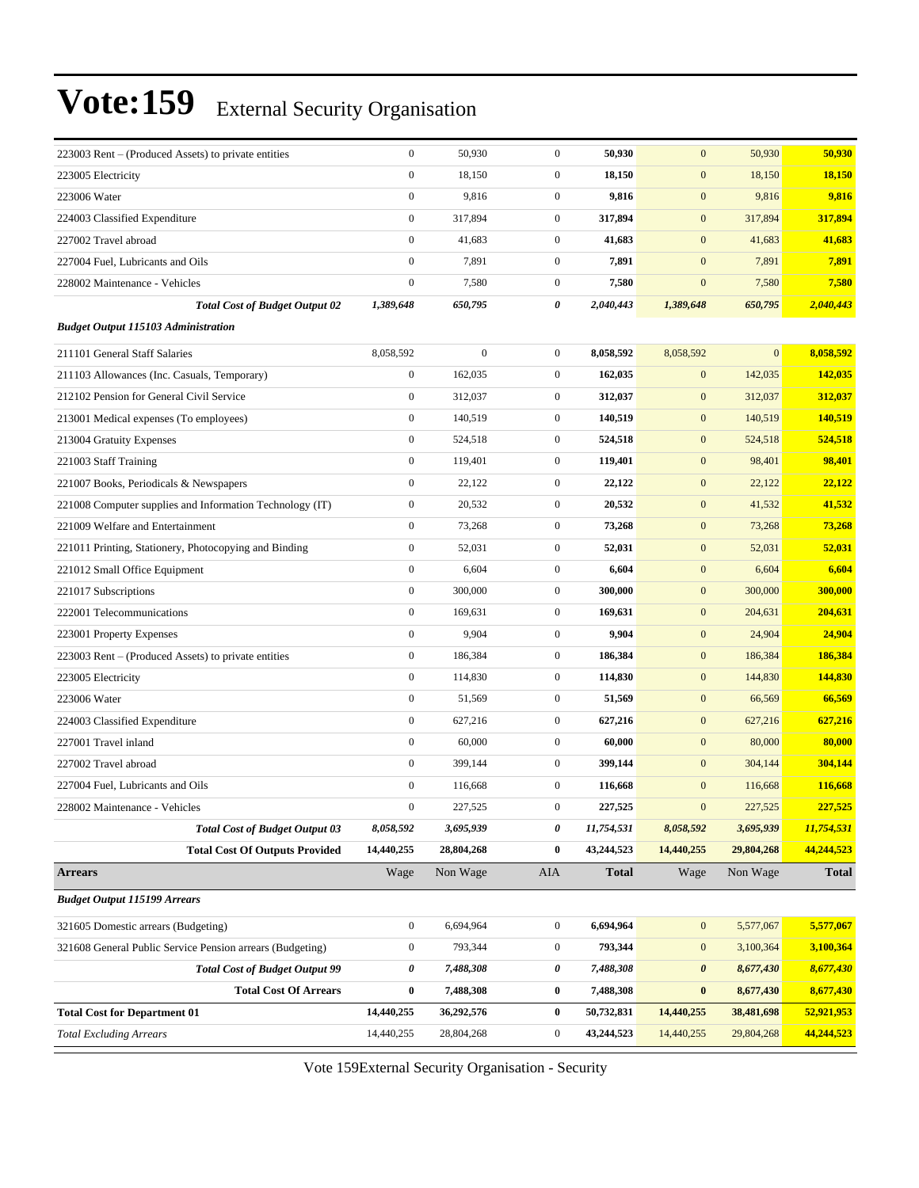| 223003 Rent – (Produced Assets) to private entities       | $\boldsymbol{0}$ | 50,930           | $\mathbf{0}$     | 50,930       | $\mathbf{0}$     | 50,930         | 50,930       |
|-----------------------------------------------------------|------------------|------------------|------------------|--------------|------------------|----------------|--------------|
| 223005 Electricity                                        | $\boldsymbol{0}$ | 18,150           | $\mathbf{0}$     | 18,150       | $\boldsymbol{0}$ | 18,150         | 18,150       |
| 223006 Water                                              | $\boldsymbol{0}$ | 9,816            | $\mathbf{0}$     | 9,816        | $\boldsymbol{0}$ | 9,816          | 9,816        |
| 224003 Classified Expenditure                             | $\boldsymbol{0}$ | 317,894          | $\mathbf{0}$     | 317,894      | $\mathbf{0}$     | 317,894        | 317,894      |
| 227002 Travel abroad                                      | $\boldsymbol{0}$ | 41,683           | $\mathbf{0}$     | 41,683       | $\mathbf{0}$     | 41,683         | 41,683       |
| 227004 Fuel, Lubricants and Oils                          | $\boldsymbol{0}$ | 7,891            | $\mathbf{0}$     | 7,891        | $\mathbf{0}$     | 7,891          | 7,891        |
| 228002 Maintenance - Vehicles                             | $\boldsymbol{0}$ | 7,580            | $\boldsymbol{0}$ | 7,580        | $\mathbf{0}$     | 7,580          | 7,580        |
| <b>Total Cost of Budget Output 02</b>                     | 1,389,648        | 650,795          | 0                | 2,040,443    | 1,389,648        | 650,795        | 2,040,443    |
| <b>Budget Output 115103 Administration</b>                |                  |                  |                  |              |                  |                |              |
| 211101 General Staff Salaries                             | 8,058,592        | $\boldsymbol{0}$ | $\mathbf{0}$     | 8,058,592    | 8,058,592        | $\overline{0}$ | 8,058,592    |
| 211103 Allowances (Inc. Casuals, Temporary)               | $\boldsymbol{0}$ | 162,035          | $\boldsymbol{0}$ | 162,035      | $\boldsymbol{0}$ | 142,035        | 142,035      |
| 212102 Pension for General Civil Service                  | $\boldsymbol{0}$ | 312,037          | $\mathbf{0}$     | 312,037      | $\boldsymbol{0}$ | 312,037        | 312,037      |
| 213001 Medical expenses (To employees)                    | $\boldsymbol{0}$ | 140,519          | $\mathbf{0}$     | 140,519      | $\boldsymbol{0}$ | 140,519        | 140,519      |
| 213004 Gratuity Expenses                                  | $\boldsymbol{0}$ | 524,518          | $\mathbf{0}$     | 524,518      | $\mathbf{0}$     | 524,518        | 524,518      |
| 221003 Staff Training                                     | $\boldsymbol{0}$ | 119,401          | $\mathbf{0}$     | 119,401      | $\mathbf{0}$     | 98,401         | 98,401       |
| 221007 Books, Periodicals & Newspapers                    | $\boldsymbol{0}$ | 22,122           | $\mathbf{0}$     | 22,122       | $\boldsymbol{0}$ | 22,122         | 22,122       |
| 221008 Computer supplies and Information Technology (IT)  | $\boldsymbol{0}$ | 20,532           | $\mathbf{0}$     | 20,532       | $\boldsymbol{0}$ | 41,532         | 41,532       |
| 221009 Welfare and Entertainment                          | $\boldsymbol{0}$ | 73,268           | $\mathbf{0}$     | 73,268       | $\boldsymbol{0}$ | 73,268         | 73,268       |
| 221011 Printing, Stationery, Photocopying and Binding     | $\boldsymbol{0}$ | 52,031           | $\mathbf{0}$     | 52,031       | $\mathbf{0}$     | 52,031         | 52,031       |
| 221012 Small Office Equipment                             | $\boldsymbol{0}$ | 6,604            | $\mathbf{0}$     | 6,604        | $\mathbf{0}$     | 6,604          | 6,604        |
| 221017 Subscriptions                                      | $\boldsymbol{0}$ | 300,000          | $\mathbf{0}$     | 300,000      | $\boldsymbol{0}$ | 300,000        | 300,000      |
| 222001 Telecommunications                                 | $\boldsymbol{0}$ | 169,631          | $\mathbf{0}$     | 169,631      | $\mathbf{0}$     | 204,631        | 204,631      |
| 223001 Property Expenses                                  | $\boldsymbol{0}$ | 9,904            | $\mathbf{0}$     | 9,904        | $\boldsymbol{0}$ | 24,904         | 24,904       |
| 223003 Rent - (Produced Assets) to private entities       | $\boldsymbol{0}$ | 186,384          | $\mathbf{0}$     | 186,384      | $\mathbf{0}$     | 186,384        | 186,384      |
| 223005 Electricity                                        | $\boldsymbol{0}$ | 114,830          | $\mathbf{0}$     | 114,830      | $\mathbf{0}$     | 144,830        | 144,830      |
| 223006 Water                                              | $\boldsymbol{0}$ | 51,569           | $\mathbf{0}$     | 51,569       | $\boldsymbol{0}$ | 66,569         | 66,569       |
| 224003 Classified Expenditure                             | $\boldsymbol{0}$ | 627,216          | $\mathbf{0}$     | 627,216      | $\boldsymbol{0}$ | 627,216        | 627,216      |
| 227001 Travel inland                                      | $\boldsymbol{0}$ | 60,000           | $\mathbf{0}$     | 60,000       | $\boldsymbol{0}$ | 80,000         | 80,000       |
| 227002 Travel abroad                                      | $\boldsymbol{0}$ | 399,144          | $\mathbf{0}$     | 399,144      | $\mathbf{0}$     | 304,144        | 304,144      |
| 227004 Fuel, Lubricants and Oils                          | $\boldsymbol{0}$ | 116,668          | $\mathbf{0}$     | 116,668      | $\mathbf{0}$     | 116,668        | 116,668      |
| 228002 Maintenance - Vehicles                             | $\overline{0}$   | 227,525          | $\mathbf{0}$     | 227,525      | $\mathbf{0}$     | 227,525        | 227,525      |
| <b>Total Cost of Budget Output 03</b>                     | 8,058,592        | 3,695,939        | 0                | 11,754,531   | 8,058,592        | 3,695,939      | 11,754,531   |
| <b>Total Cost Of Outputs Provided</b>                     | 14,440,255       | 28,804,268       | $\bf{0}$         | 43,244,523   | 14,440,255       | 29,804,268     | 44,244,523   |
| <b>Arrears</b>                                            | Wage             | Non Wage         | AIA              | <b>Total</b> | Wage             | Non Wage       | <b>Total</b> |
| <b>Budget Output 115199 Arrears</b>                       |                  |                  |                  |              |                  |                |              |
| 321605 Domestic arrears (Budgeting)                       | $\boldsymbol{0}$ | 6,694,964        | $\boldsymbol{0}$ | 6,694,964    | $\boldsymbol{0}$ | 5,577,067      | 5,577,067    |
| 321608 General Public Service Pension arrears (Budgeting) | $\boldsymbol{0}$ | 793,344          | $\boldsymbol{0}$ | 793,344      | $\boldsymbol{0}$ | 3,100,364      | 3,100,364    |
| <b>Total Cost of Budget Output 99</b>                     | 0                | 7,488,308        | 0                | 7,488,308    | 0                | 8,677,430      | 8,677,430    |
| <b>Total Cost Of Arrears</b>                              | $\bf{0}$         | 7,488,308        | $\bf{0}$         | 7,488,308    | $\pmb{0}$        | 8,677,430      | 8,677,430    |
| <b>Total Cost for Department 01</b>                       | 14,440,255       | 36,292,576       | $\bf{0}$         | 50,732,831   | 14,440,255       | 38,481,698     | 52,921,953   |
| <b>Total Excluding Arrears</b>                            | 14,440,255       | 28,804,268       | $\boldsymbol{0}$ | 43,244,523   | 14,440,255       | 29,804,268     | 44,244,523   |

Vote 159External Security Organisation - Security